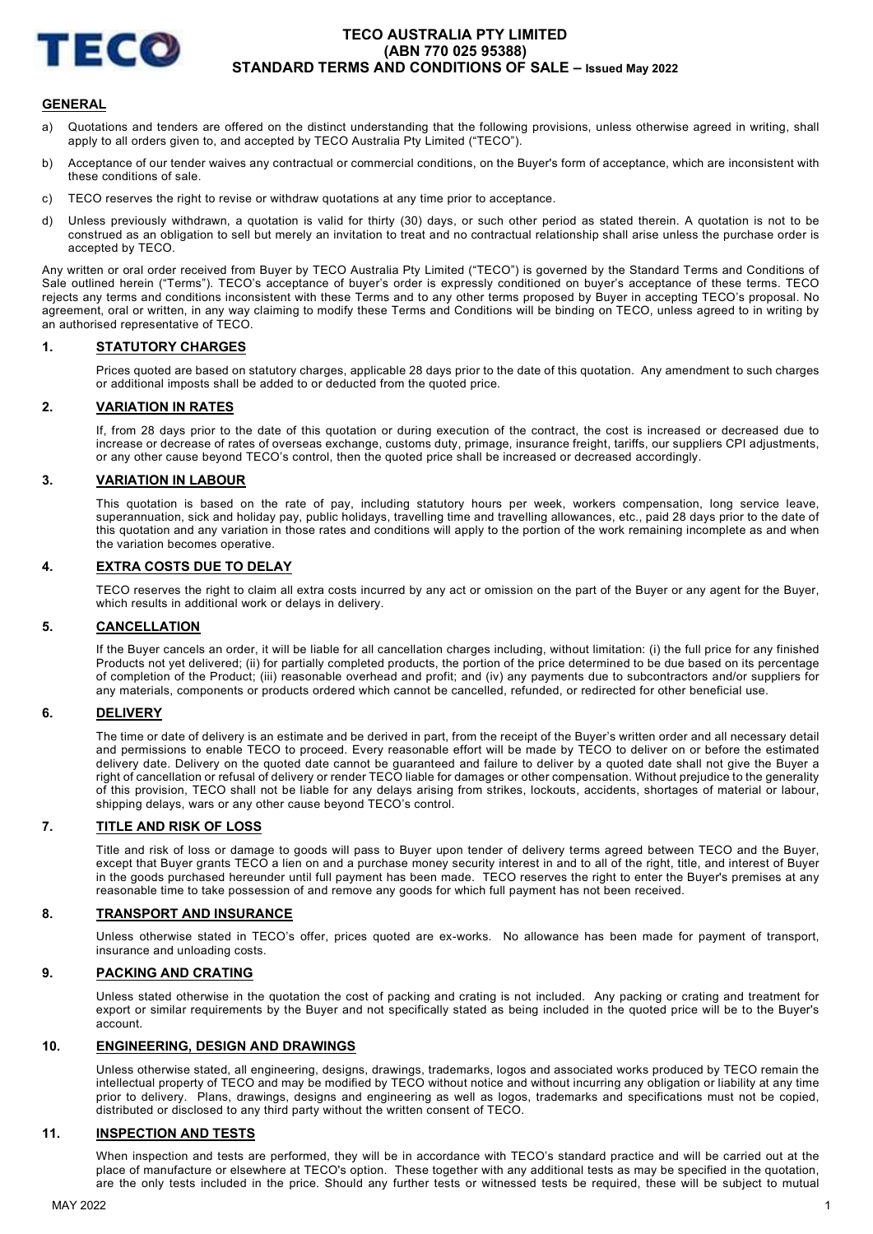

# TECO AUSTRALIA PTY LIMITED (ABN 770 025 95388) STANDARD TERMS AND CONDITIONS OF SALE – Issued May 2022

### **GENERAL**

- a) Quotations and tenders are offered on the distinct understanding that the following provisions, unless otherwise agreed in writing, shall apply to all orders given to, and accepted by TECO Australia Pty Limited ("TECO").
- b) Acceptance of our tender waives any contractual or commercial conditions, on the Buyer's form of acceptance, which are inconsistent with these conditions of sale.
- c) TECO reserves the right to revise or withdraw quotations at any time prior to acceptance.
- d) Unless previously withdrawn, a quotation is valid for thirty (30) days, or such other period as stated therein. A quotation is not to be construed as an obligation to sell but merely an invitation to treat and no contractual relationship shall arise unless the purchase order is accepted by TECO.

Any written or oral order received from Buyer by TECO Australia Pty Limited ("TECO") is governed by the Standard Terms and Conditions of Sale outlined herein ("Terms"). TECO's acceptance of buyer's order is expressly conditioned on buyer's acceptance of these terms. TECO rejects any terms and conditions inconsistent with these Terms and to any other terms proposed by Buyer in accepting TECO's proposal. No agreement, oral or written, in any way claiming to modify these Terms and Conditions will be binding on TECO, unless agreed to in writing by an authorised representative of TECO.

# 1. STATUTORY CHARGES

Prices quoted are based on statutory charges, applicable 28 days prior to the date of this quotation. Any amendment to such charges or additional imposts shall be added to or deducted from the quoted price.

### 2. VARIATION IN RATES

If, from 28 days prior to the date of this quotation or during execution of the contract, the cost is increased or decreased due to increase or decrease of rates of overseas exchange, customs duty, primage, insurance freight, tariffs, our suppliers CPI adjustments, or any other cause beyond TECO's control, then the quoted price shall be increased or decreased accordingly.

## 3. VARIATION IN LABOUR

This quotation is based on the rate of pay, including statutory hours per week, workers compensation, long service leave, superannuation, sick and holiday pay, public holidays, travelling time and travelling allowances, etc., paid 28 days prior to the date of this quotation and any variation in those rates and conditions will apply to the portion of the work remaining incomplete as and when the variation becomes operative.

### 4. EXTRA COSTS DUE TO DELAY

TECO reserves the right to claim all extra costs incurred by any act or omission on the part of the Buyer or any agent for the Buyer, which results in additional work or delays in delivery.

### 5. CANCELLATION

If the Buyer cancels an order, it will be liable for all cancellation charges including, without limitation: (i) the full price for any finished Products not yet delivered; (ii) for partially completed products, the portion of the price determined to be due based on its percentage of completion of the Product; (iii) reasonable overhead and profit; and (iv) any payments due to subcontractors and/or suppliers for any materials, components or products ordered which cannot be cancelled, refunded, or redirected for other beneficial use.

### 6. DELIVERY

The time or date of delivery is an estimate and be derived in part, from the receipt of the Buyer's written order and all necessary detail and permissions to enable TECO to proceed. Every reasonable effort will be made by TECO to deliver on or before the estimated delivery date. Delivery on the quoted date cannot be guaranteed and failure to deliver by a quoted date shall not give the Buyer a right of cancellation or refusal of delivery or render TECO liable for damages or other compensation. Without prejudice to the generality of this provision, TECO shall not be liable for any delays arising from strikes, lockouts, accidents, shortages of material or labour, shipping delays, wars or any other cause beyond TECO's control.

### 7. TITLE AND RISK OF LOSS

Title and risk of loss or damage to goods will pass to Buyer upon tender of delivery terms agreed between TECO and the Buyer, except that Buyer grants TECO a lien on and a purchase money security interest in and to all of the right, title, and interest of Buyer in the goods purchased hereunder until full payment has been made. TECO reserves the right to enter the Buyer's premises at any reasonable time to take possession of and remove any goods for which full payment has not been received.

# 8. TRANSPORT AND INSURANCE

Unless otherwise stated in TECO's offer, prices quoted are ex-works. No allowance has been made for payment of transport, insurance and unloading costs.

### 9. PACKING AND CRATING

Unless stated otherwise in the quotation the cost of packing and crating is not included. Any packing or crating and treatment for export or similar requirements by the Buyer and not specifically stated as being included in the quoted price will be to the Buyer's account.

### 10. ENGINEERING, DESIGN AND DRAWINGS

Unless otherwise stated, all engineering, designs, drawings, trademarks, logos and associated works produced by TECO remain the intellectual property of TECO and may be modified by TECO without notice and without incurring any obligation or liability at any time prior to delivery. Plans, drawings, designs and engineering as well as logos, trademarks and specifications must not be copied, distributed or disclosed to any third party without the written consent of TECO.

# 11. INSPECTION AND TESTS

When inspection and tests are performed, they will be in accordance with TECO's standard practice and will be carried out at the place of manufacture or elsewhere at TECO's option. These together with any additional tests as may be specified in the quotation, are the only tests included in the price. Should any further tests or witnessed tests be required, these will be subject to mutual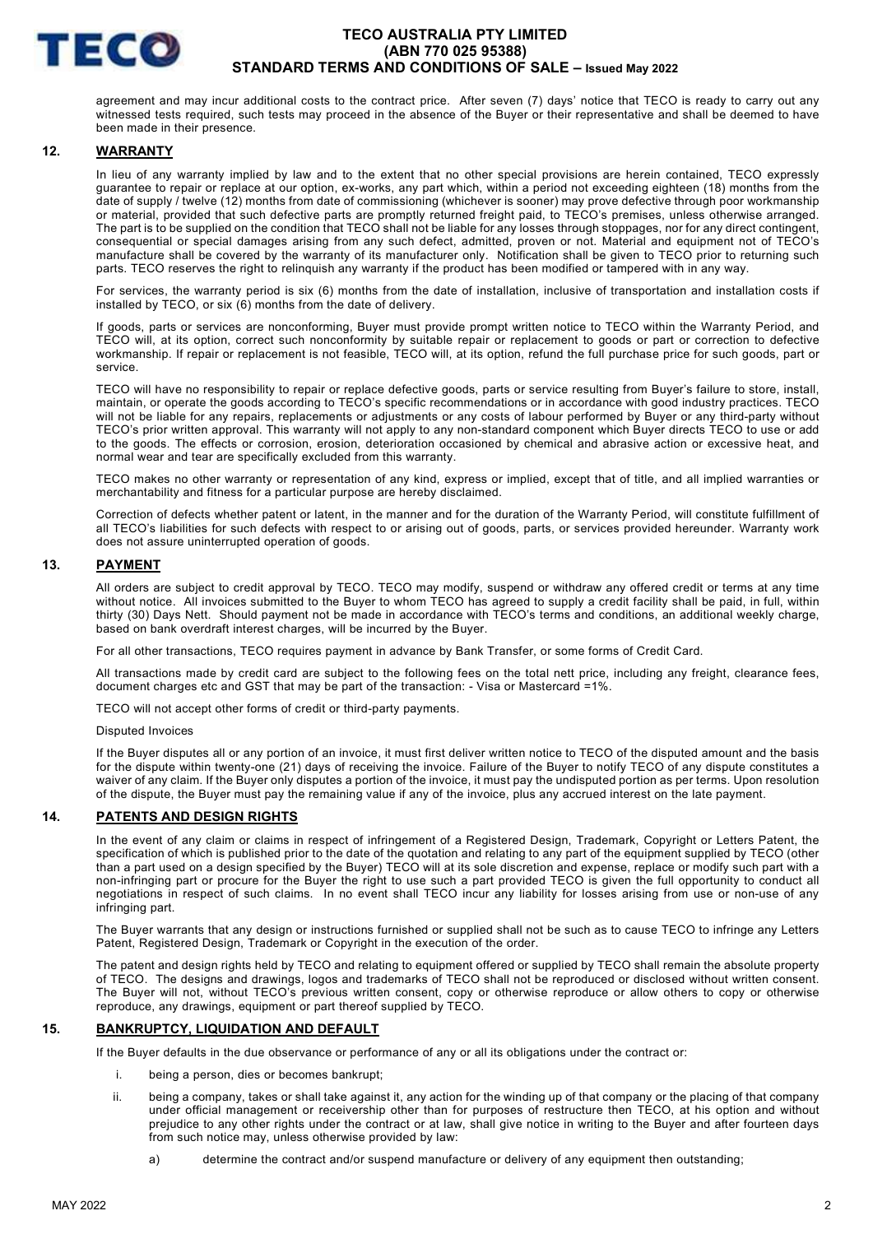

# TECO AUSTRALIA PTY LIMITED (ABN 770 025 95388) STANDARD TERMS AND CONDITIONS OF SALE – Issued May 2022

agreement and may incur additional costs to the contract price. After seven (7) days' notice that TECO is ready to carry out any witnessed tests required, such tests may proceed in the absence of the Buyer or their representative and shall be deemed to have been made in their presence.

### 12. WARRANTY

In lieu of any warranty implied by law and to the extent that no other special provisions are herein contained, TECO expressly guarantee to repair or replace at our option, ex-works, any part which, within a period not exceeding eighteen (18) months from the date of supply / twelve (12) months from date of commissioning (whichever is sooner) may prove defective through poor workmanship or material, provided that such defective parts are promptly returned freight paid, to TECO's premises, unless otherwise arranged. The part is to be supplied on the condition that TECO shall not be liable for any losses through stoppages, nor for any direct contingent, consequential or special damages arising from any such defect, admitted, proven or not. Material and equipment not of TECO's manufacture shall be covered by the warranty of its manufacturer only. Notification shall be given to TECO prior to returning such parts. TECO reserves the right to relinquish any warranty if the product has been modified or tampered with in any way.

For services, the warranty period is six (6) months from the date of installation, inclusive of transportation and installation costs if installed by TECO, or six (6) months from the date of delivery.

If goods, parts or services are nonconforming, Buyer must provide prompt written notice to TECO within the Warranty Period, and TECO will, at its option, correct such nonconformity by suitable repair or replacement to goods or part or correction to defective workmanship. If repair or replacement is not feasible, TECO will, at its option, refund the full purchase price for such goods, part or service.

TECO will have no responsibility to repair or replace defective goods, parts or service resulting from Buyer's failure to store, install, maintain, or operate the goods according to TECO's specific recommendations or in accordance with good industry practices. TECO will not be liable for any repairs, replacements or adjustments or any costs of labour performed by Buyer or any third-party without TECO's prior written approval. This warranty will not apply to any non-standard component which Buyer directs TECO to use or add to the goods. The effects or corrosion, erosion, deterioration occasioned by chemical and abrasive action or excessive heat, and normal wear and tear are specifically excluded from this warranty.

TECO makes no other warranty or representation of any kind, express or implied, except that of title, and all implied warranties or merchantability and fitness for a particular purpose are hereby disclaimed.

Correction of defects whether patent or latent, in the manner and for the duration of the Warranty Period, will constitute fulfillment of all TECO's liabilities for such defects with respect to or arising out of goods, parts, or services provided hereunder. Warranty work does not assure uninterrupted operation of goods.

# 13. PAYMENT

All orders are subject to credit approval by TECO. TECO may modify, suspend or withdraw any offered credit or terms at any time without notice. All invoices submitted to the Buyer to whom TECO has agreed to supply a credit facility shall be paid, in full, within thirty (30) Days Nett. Should payment not be made in accordance with TECO's terms and conditions, an additional weekly charge, based on bank overdraft interest charges, will be incurred by the Buyer.

For all other transactions, TECO requires payment in advance by Bank Transfer, or some forms of Credit Card.

All transactions made by credit card are subject to the following fees on the total nett price, including any freight, clearance fees, document charges etc and GST that may be part of the transaction: - Visa or Mastercard =1%.

TECO will not accept other forms of credit or third-party payments.

#### Disputed Invoices

If the Buyer disputes all or any portion of an invoice, it must first deliver written notice to TECO of the disputed amount and the basis for the dispute within twenty-one (21) days of receiving the invoice. Failure of the Buyer to notify TECO of any dispute constitutes a waiver of any claim. If the Buyer only disputes a portion of the invoice, it must pay the undisputed portion as per terms. Upon resolution of the dispute, the Buyer must pay the remaining value if any of the invoice, plus any accrued interest on the late payment.

### 14. PATENTS AND DESIGN RIGHTS

In the event of any claim or claims in respect of infringement of a Registered Design, Trademark, Copyright or Letters Patent, the specification of which is published prior to the date of the quotation and relating to any part of the equipment supplied by TECO (other than a part used on a design specified by the Buyer) TECO will at its sole discretion and expense, replace or modify such part with a non-infringing part or procure for the Buyer the right to use such a part provided TECO is given the full opportunity to conduct all negotiations in respect of such claims. In no event shall TECO incur any liability for losses arising from use or non-use of any infringing part.

The Buyer warrants that any design or instructions furnished or supplied shall not be such as to cause TECO to infringe any Letters Patent, Registered Design, Trademark or Copyright in the execution of the order.

The patent and design rights held by TECO and relating to equipment offered or supplied by TECO shall remain the absolute property of TECO. The designs and drawings, logos and trademarks of TECO shall not be reproduced or disclosed without written consent. The Buyer will not, without TECO's previous written consent, copy or otherwise reproduce or allow others to copy or otherwise reproduce, any drawings, equipment or part thereof supplied by TECO.

### 15. BANKRUPTCY, LIQUIDATION AND DEFAULT

If the Buyer defaults in the due observance or performance of any or all its obligations under the contract or:

- i. being a person, dies or becomes bankrupt;
- ii. being a company, takes or shall take against it, any action for the winding up of that company or the placing of that company under official management or receivership other than for purposes of restructure then TECO, at his option and without prejudice to any other rights under the contract or at law, shall give notice in writing to the Buyer and after fourteen days from such notice may, unless otherwise provided by law:
	- a) determine the contract and/or suspend manufacture or delivery of any equipment then outstanding;